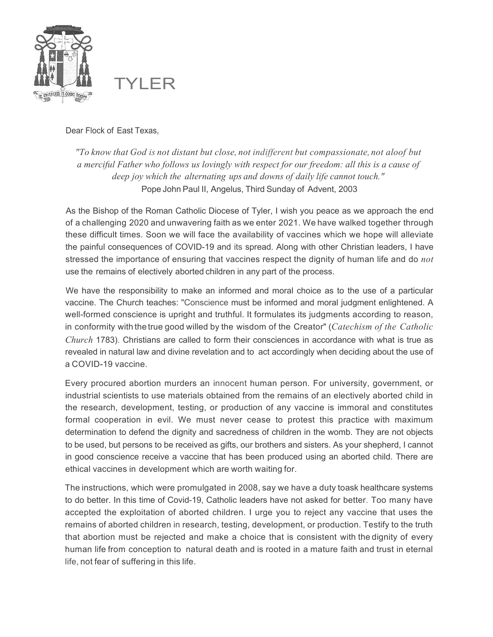

YI FR

Dear Flock of East Texas,

*"To know that God is not distant but close, not indifferent but compassionate, not aloof but a merciful Father who follows us lovingly with respect for our freedom: all this is a cause of deep joy which the alternating ups and downs of daily life cannot touch."* Pope John Paul II, Angelus, Third Sunday of Advent, 2003

As the Bishop of the Roman Catholic Diocese of Tyler, I wish you peace as we approach the end of a challenging 2020 and unwavering faith as we enter 2021. We have walked together through these difficult times. Soon we will face the availability of vaccines which we hope will alleviate the painful consequences of COVID-19 and its spread. Along with other Christian leaders, I have stressed the importance of ensuring that vaccines respect the dignity of human life and do *not* use the remains of electively aborted children in any part of the process.

We have the responsibility to make an informed and moral choice as to the use of a particular vaccine. The Church teaches: "Conscience must be informed and moral judgment enlightened. A well-formed conscience is upright and truthful. It formulates its judgments according to reason, in conformity with the true good willed by the wisdom of the Creator" (*Catechism of the Catholic Church* 1783). Christians are called to form their consciences in accordance with what is true as revealed in natural law and divine revelation and to act accordingly when deciding about the use of a COVID-19 vaccine.

Every procured abortion murders an innocent human person. For university, government, or industrial scientists to use materials obtained from the remains of an electively aborted child in the research, development, testing, or production of any vaccine is immoral and constitutes formal cooperation in evil. We must never cease to protest this practice with maximum determination to defend the dignity and sacredness of children in the womb. They are not objects to be used, but persons to be received as gifts, our brothers and sisters. As your shepherd, I cannot in good conscience receive a vaccine that has been produced using an aborted child. There are ethical vaccines in development which are worth waiting for.

The instructions, which were promulgated in 2008, say we have a duty toask healthcare systems to do better. In this time of Covid-19, Catholic leaders have not asked for better. Too many have accepted the exploitation of aborted children. I urge you to reject any vaccine that uses the remains of aborted children in research, testing, development, or production. Testify to the truth that abortion must be rejected and make a choice that is consistent with the dignity of every human life from conception to natural death and is rooted in a mature faith and trust in eternal life, not fear of suffering in this life.